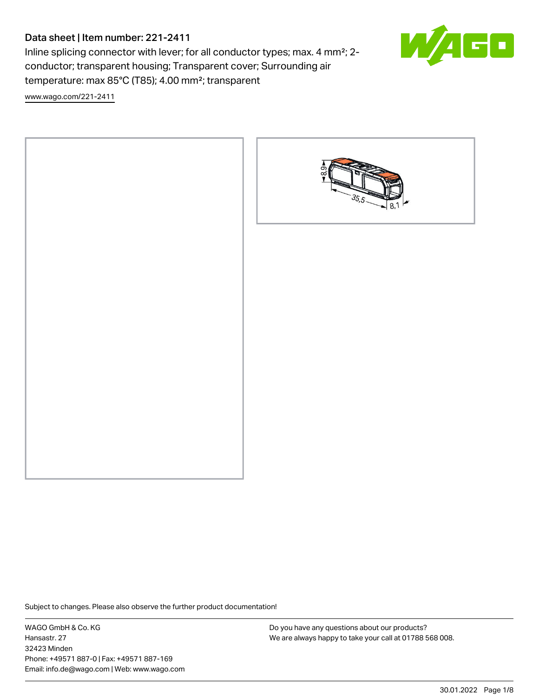# Data sheet | Item number: 221-2411

Inline splicing connector with lever; for all conductor types; max. 4 mm²; 2 conductor; transparent housing; Transparent cover; Surrounding air temperature: max 85°C (T85); 4.00 mm²; transparent



 $\Box$ 

[www.wago.com/221-2411](http://www.wago.com/221-2411)



Subject to changes. Please also observe the further product documentation!

WAGO GmbH & Co. KG Hansastr. 27 32423 Minden Phone: +49571 887-0 | Fax: +49571 887-169 Email: info.de@wago.com | Web: www.wago.com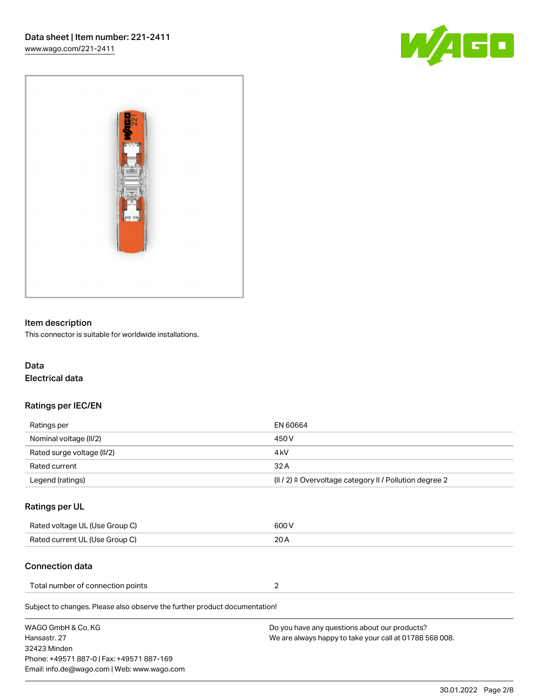



# Item description

This connector is suitable for worldwide installations.

# Data Electrical data

# Ratings per IEC/EN

| Ratings per                | EN 60664                                                           |
|----------------------------|--------------------------------------------------------------------|
| Nominal voltage (II/2)     | 450 V                                                              |
| Rated surge voltage (II/2) | 4 kV                                                               |
| Rated current              | 32 A                                                               |
| Legend (ratings)           | $(11/2)$ $\triangleq$ Overvoltage category II / Pollution degree 2 |

## Ratings per UL

| Rated voltage UL (Use Group C) | 600 V |
|--------------------------------|-------|
| Rated current UL (Use Group C) | 20 A  |

# Connection data

| Total number of connection points |  |
|-----------------------------------|--|
|                                   |  |

Subject to changes. Please also observe the further product documentation!

| WAGO GmbH & Co. KG                          | Do you have any questions about our products?           |
|---------------------------------------------|---------------------------------------------------------|
| Hansastr. 27                                | We are always happy to take your call at 01788 568 008. |
| 32423 Minden                                |                                                         |
| Phone: +49571 887-0   Fax: +49571 887-169   |                                                         |
| Email: info.de@wago.com   Web: www.wago.com |                                                         |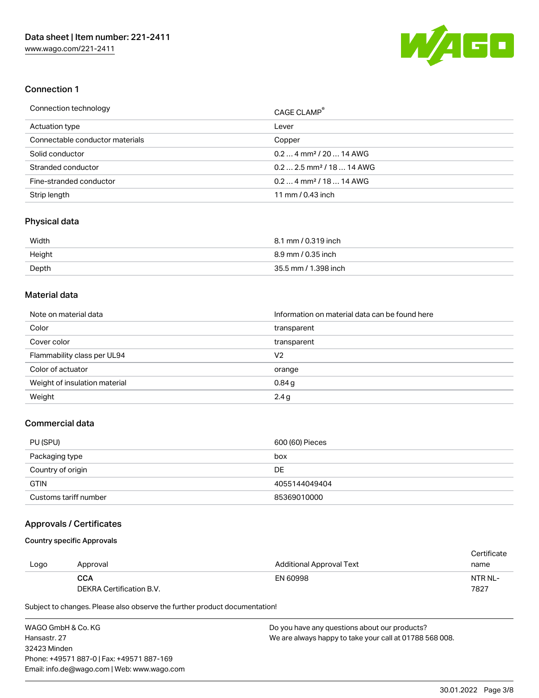

## Connection 1

| Connection technology           | CAGE CLAMP <sup>®</sup>               |
|---------------------------------|---------------------------------------|
| Actuation type                  | Lever                                 |
| Connectable conductor materials | Copper                                |
| Solid conductor                 | $0.24$ mm <sup>2</sup> / 20  14 AWG   |
| Stranded conductor              | $0.22.5$ mm <sup>2</sup> / 18  14 AWG |
| Fine-stranded conductor         | $0.24$ mm <sup>2</sup> / 18  14 AWG   |
| Strip length                    | 11 mm / $0.43$ inch                   |

#### Physical data

| Width  | 8.1 mm / 0.319 inch  |
|--------|----------------------|
| Height | 8.9 mm / 0.35 inch   |
| Depth  | 35.5 mm / 1.398 inch |

# Material data

| Note on material data         | Information on material data can be found here |  |
|-------------------------------|------------------------------------------------|--|
| Color                         | transparent                                    |  |
| Cover color                   | transparent                                    |  |
| Flammability class per UL94   | V2                                             |  |
| Color of actuator             | orange                                         |  |
| Weight of insulation material | 0.84g                                          |  |
| Weight                        | 2.4g                                           |  |

## Commercial data

| PU (SPU)              | 600 (60) Pieces |
|-----------------------|-----------------|
| Packaging type        | box             |
| Country of origin     | DE              |
| <b>GTIN</b>           | 4055144049404   |
| Customs tariff number | 85369010000     |

# Approvals / Certificates

#### Country specific Approvals

|      |                          |                          | Certificate |
|------|--------------------------|--------------------------|-------------|
| Logo | Approval                 | Additional Approval Text | name        |
|      | <b>CCA</b>               | EN 60998                 | NTR NL-     |
|      | DEKRA Certification B.V. |                          | 7827        |

Subject to changes. Please also observe the further product documentation!

WAGO GmbH & Co. KG Hansastr. 27 32423 Minden Phone: +49571 887-0 | Fax: +49571 887-169 Email: info.de@wago.com | Web: www.wago.com Do you have any questions about our products? We are always happy to take your call at 01788 568 008.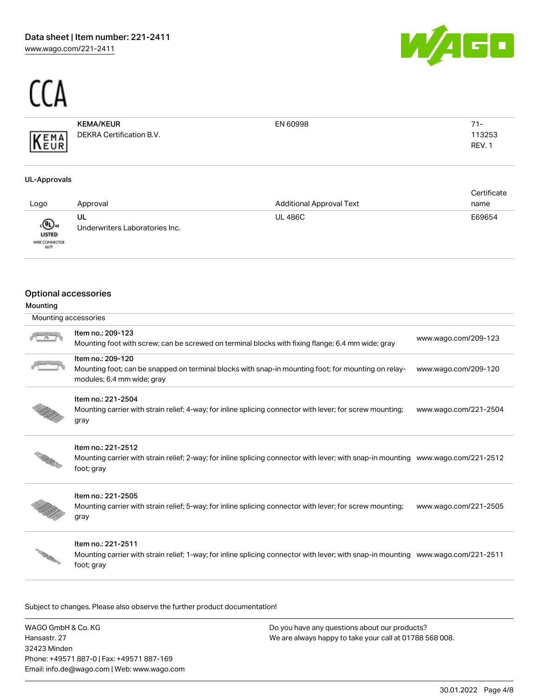



113253 REV. 1

## KEMA/KEUR DEKRA Certification B.V. KEMA

| EN 60998 |  | $71-$ |  |
|----------|--|-------|--|
|          |  | 113   |  |

#### UL-Approvals

|                                                 |                                      |                                 | Certificate |
|-------------------------------------------------|--------------------------------------|---------------------------------|-------------|
| Logo                                            | Approval                             | <b>Additional Approval Text</b> | name        |
| «®»<br><b>LISTED</b><br>WIRE CONNECTOR<br>66.7F | UL<br>Underwriters Laboratories Inc. | <b>UL 486C</b>                  | E69654      |

## Optional accessories

## Mounting

| Mounting accessories |                                                                                                                                                        |                       |
|----------------------|--------------------------------------------------------------------------------------------------------------------------------------------------------|-----------------------|
|                      | Item no.: 209-123<br>Mounting foot with screw; can be screwed on terminal blocks with fixing flange; 6.4 mm wide; gray                                 | www.wago.com/209-123  |
|                      | Item no.: 209-120<br>Mounting foot; can be snapped on terminal blocks with snap-in mounting foot; for mounting on relay-<br>modules; 6.4 mm wide; gray | www.wago.com/209-120  |
|                      | Item no.: 221-2504<br>Mounting carrier with strain relief; 4-way; for inline splicing connector with lever; for screw mounting;<br>gray                | www.wago.com/221-2504 |
|                      | Item no.: 221-2512<br>Mounting carrier with strain relief; 2-way; for inline splicing connector with lever; with snap-in mounting<br>foot; gray        | www.wago.com/221-2512 |
|                      | Item no.: 221-2505<br>Mounting carrier with strain relief; 5-way; for inline splicing connector with lever; for screw mounting;<br>gray                | www.wago.com/221-2505 |



#### Item no.: 221-2511

Mounting carrier with strain relief; 1-way; for inline splicing connector with lever; with snap-in mounting [www.wago.com/221-2511](http://www.wago.com/221-2511) foot; gray

Subject to changes. Please also observe the further product documentation!

WAGO GmbH & Co. KG Hansastr. 27 32423 Minden Phone: +49571 887-0 | Fax: +49571 887-169 Email: info.de@wago.com | Web: www.wago.com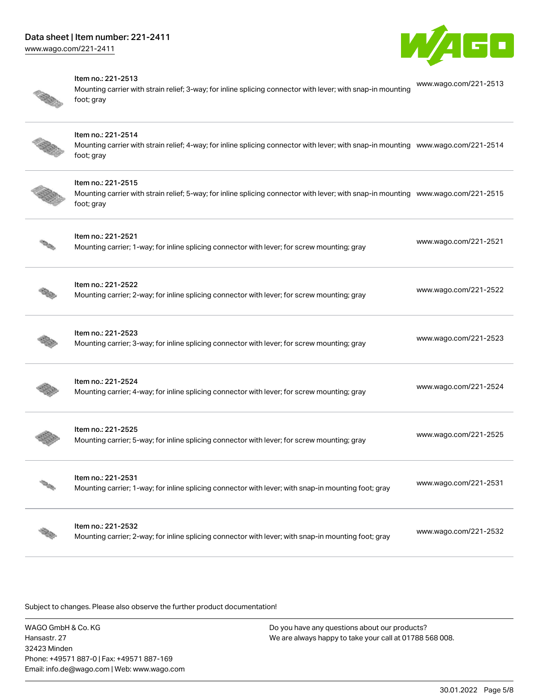



#### Item no.: 221-2513

Mounting carrier with strain relief; 3-way; for inline splicing connector with lever; with snap-in mounting foot; gray [www.wago.com/221-2513](http://www.wago.com/221-2513)



#### Item no.: 221-2514

Mounting carrier with strain relief; 4-way; for inline splicing connector with lever; with snap-in mounting [www.wago.com/221-2514](http://www.wago.com/221-2514) foot; gray



#### Item no.: 221-2515

Mounting carrier with strain relief; 5-way; for inline splicing connector with lever; with snap-in mounting [www.wago.com/221-2515](http://www.wago.com/221-2515) foot; gray

| Item no.: 221-2521<br>Mounting carrier; 1-way; for inline splicing connector with lever; for screw mounting; gray         | www.wago.com/221-2521 |
|---------------------------------------------------------------------------------------------------------------------------|-----------------------|
| Item no.: 221-2522<br>Mounting carrier; 2-way; for inline splicing connector with lever; for screw mounting; gray         | www.wago.com/221-2522 |
| Item no.: 221-2523<br>Mounting carrier; 3-way; for inline splicing connector with lever; for screw mounting; gray         | www.wago.com/221-2523 |
| Item no.: 221-2524<br>Mounting carrier; 4-way; for inline splicing connector with lever; for screw mounting; gray         | www.wago.com/221-2524 |
| Item no.: 221-2525<br>Mounting carrier; 5-way; for inline splicing connector with lever; for screw mounting; gray         | www.wago.com/221-2525 |
| Item no.: 221-2531<br>Mounting carrier; 1-way; for inline splicing connector with lever; with snap-in mounting foot; gray | www.wago.com/221-2531 |
| Item no.: 221-2532<br>Mounting carrier; 2-way; for inline splicing connector with lever; with snap-in mounting foot; gray | www.wago.com/221-2532 |

Subject to changes. Please also observe the further product documentation!

WAGO GmbH & Co. KG Hansastr. 27 32423 Minden Phone: +49571 887-0 | Fax: +49571 887-169 Email: info.de@wago.com | Web: www.wago.com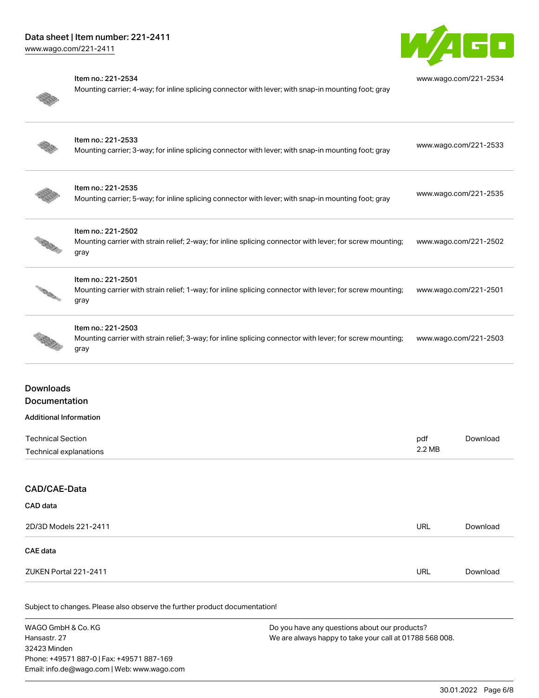# Data sheet | Item number: 221-2411

[www.wago.com/221-2411](http://www.wago.com/221-2411)



| Item no.: 221-2534<br>Mounting carrier; 4-way; for inline splicing connector with lever; with snap-in mounting foot; gray               | www.wago.com/221-2534 |
|-----------------------------------------------------------------------------------------------------------------------------------------|-----------------------|
| Item no.: 221-2533<br>Mounting carrier; 3-way; for inline splicing connector with lever; with snap-in mounting foot; gray               | www.wago.com/221-2533 |
| Item no.: 221-2535<br>Mounting carrier; 5-way; for inline splicing connector with lever; with snap-in mounting foot; gray               | www.wago.com/221-2535 |
| Item no.: 221-2502<br>Mounting carrier with strain relief; 2-way; for inline splicing connector with lever; for screw mounting;<br>gray | www.wago.com/221-2502 |
| Item no.: 221-2501<br>Mounting carrier with strain relief; 1-way; for inline splicing connector with lever; for screw mounting;<br>gray | www.wago.com/221-2501 |
| Item no.: 221-2503<br>Mounting carrier with strain relief; 3-way; for inline splicing connector with lever; for screw mounting;<br>gray | www.wago.com/221-2503 |
|                                                                                                                                         |                       |

# Downloads Documentation

#### Additional Information

| <b>Technical Section</b> | pdf    | Download |
|--------------------------|--------|----------|
| Technical explanations   | 2.2 MB |          |
|                          |        |          |

# CAD/CAE-Data

| CAD data              |            |          |
|-----------------------|------------|----------|
| 2D/3D Models 221-2411 | URL        | Download |
| CAE data              |            |          |
| ZUKEN Portal 221-2411 | <b>URL</b> | Download |

Subject to changes. Please also observe the further product documentation!

WAGO GmbH & Co. KG Hansastr. 27 32423 Minden Phone: +49571 887-0 | Fax: +49571 887-169 Email: info.de@wago.com | Web: www.wago.com Do you have any questions about our products? We are always happy to take your call at 01788 568 008.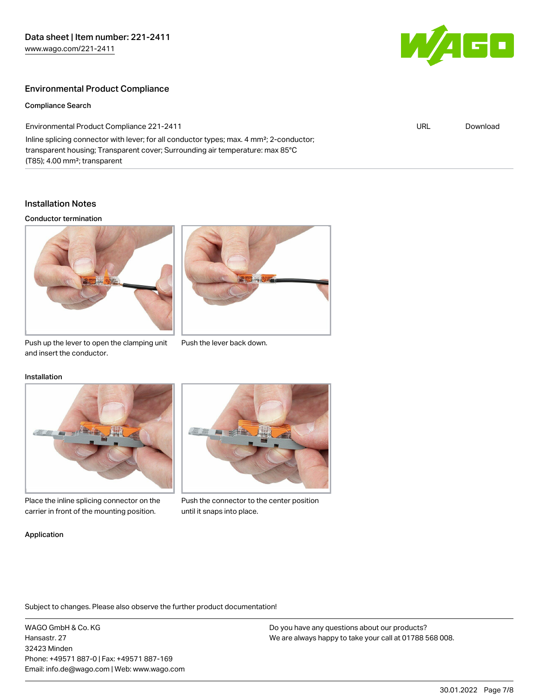

URL [Download](https://www.wago.com/gb/d/ComplianceLinkMediaContainer_221-2411)

## Environmental Product Compliance

Compliance Search

Environmental Product Compliance 221-2411

Inline splicing connector with lever; for all conductor types; max. 4 mm²; 2-conductor; transparent housing; Transparent cover; Surrounding air temperature: max 85°C (T85); 4.00 mm²; transparent

#### Installation Notes

#### Conductor termination





Push up the lever to open the clamping unit Push the lever back down. and insert the conductor.

#### Installation



Place the inline splicing connector on the carrier in front of the mounting position.



Push the connector to the center position until it snaps into place.

#### Application

Subject to changes. Please also observe the further product documentation!

WAGO GmbH & Co. KG Hansastr. 27 32423 Minden Phone: +49571 887-0 | Fax: +49571 887-169 Email: info.de@wago.com | Web: www.wago.com